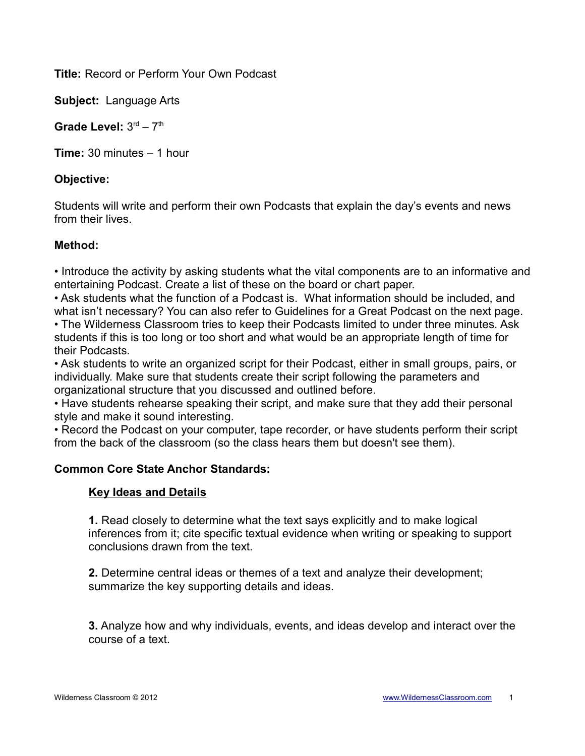**Title:** Record or Perform Your Own Podcast

**Subject:** Language Arts

Grade Level:  $3<sup>rd</sup> - 7<sup>th</sup>$ 

**Time:** 30 minutes – 1 hour

# **Objective:**

Students will write and perform their own Podcasts that explain the day's events and news from their lives.

# **Method:**

• Introduce the activity by asking students what the vital components are to an informative and entertaining Podcast. Create a list of these on the board or chart paper.

• Ask students what the function of a Podcast is. What information should be included, and what isn't necessary? You can also refer to Guidelines for a Great Podcast on the next page.

• The Wilderness Classroom tries to keep their Podcasts limited to under three minutes. Ask students if this is too long or too short and what would be an appropriate length of time for their Podcasts.

• Ask students to write an organized script for their Podcast, either in small groups, pairs, or individually. Make sure that students create their script following the parameters and organizational structure that you discussed and outlined before.

• Have students rehearse speaking their script, and make sure that they add their personal style and make it sound interesting.

• Record the Podcast on your computer, tape recorder, or have students perform their script from the back of the classroom (so the class hears them but doesn't see them).

# **Common Core State Anchor Standards:**

# **Key Ideas and Details**

**1.** Read closely to determine what the text says explicitly and to make logical inferences from it; cite specific textual evidence when writing or speaking to support conclusions drawn from the text.

**2.** Determine central ideas or themes of a text and analyze their development; summarize the key supporting details and ideas.

**3.** Analyze how and why individuals, events, and ideas develop and interact over the course of a text.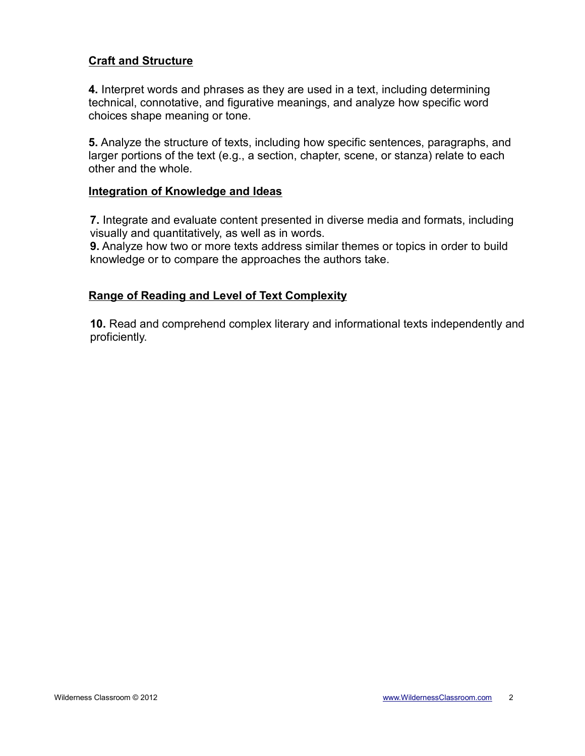### **Craft and Structure**

**4.** Interpret words and phrases as they are used in a text, including determining technical, connotative, and figurative meanings, and analyze how specific word choices shape meaning or tone.

**5.** Analyze the structure of texts, including how specific sentences, paragraphs, and larger portions of the text (e.g., a section, chapter, scene, or stanza) relate to each other and the whole.

#### **Integration of Knowledge and Ideas**

**7.** Integrate and evaluate content presented in diverse media and formats, including visually and quantitatively, as well as in words.

**9.** Analyze how two or more texts address similar themes or topics in order to build knowledge or to compare the approaches the authors take.

### **Range of Reading and Level of Text Complexity**

**10.** Read and comprehend complex literary and informational texts independently and proficiently.